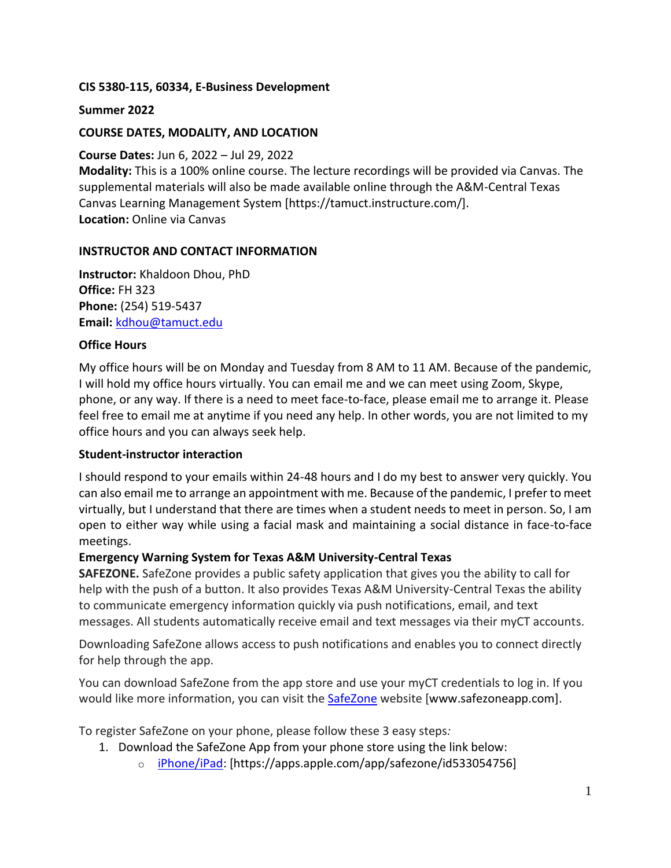### **CIS 5380-115, 60334, E-Business Development**

### **Summer 2022**

### **COURSE DATES, MODALITY, AND LOCATION**

### **Course Dates:** Jun 6, 2022 – Jul 29, 2022

**Modality:** This is a 100% online course. The lecture recordings will be provided via Canvas. The supplemental materials will also be made available online through the A&M-Central Texas Canvas Learning Management System [https://tamuct.instructure.com/]. **Location:** Online via Canvas

### **INSTRUCTOR AND CONTACT INFORMATION**

**Instructor:** Khaldoon Dhou, PhD **Office:** FH 323 **Phone:** (254) 519-5437 **Email:** [kdhou@tamuct.edu](mailto:kdhou@tamuct.edu)

### **Office Hours**

My office hours will be on Monday and Tuesday from 8 AM to 11 AM. Because of the pandemic, I will hold my office hours virtually. You can email me and we can meet using Zoom, Skype, phone, or any way. If there is a need to meet face-to-face, please email me to arrange it. Please feel free to email me at anytime if you need any help. In other words, you are not limited to my office hours and you can always seek help.

### **Student-instructor interaction**

I should respond to your emails within 24-48 hours and I do my best to answer very quickly. You can also email me to arrange an appointment with me. Because of the pandemic, I prefer to meet virtually, but I understand that there are times when a student needs to meet in person. So, I am open to either way while using a facial mask and maintaining a social distance in face-to-face meetings.

## **Emergency Warning System for Texas A&M University-Central Texas**

**SAFEZONE.** SafeZone provides a public safety application that gives you the ability to call for help with the push of a button. It also provides Texas A&M University-Central Texas the ability to communicate emergency information quickly via push notifications, email, and text messages. All students automatically receive email and text messages via their myCT accounts.

Downloading SafeZone allows access to push notifications and enables you to connect directly for help through the app.

You can download SafeZone from the app store and use your myCT credentials to log in. If you would like more information, you can visit the **[SafeZone](http://www.safezoneapp.com/)** website [www.safezoneapp.com].

To register SafeZone on your phone, please follow these 3 easy steps*:*

- 1. Download the SafeZone App from your phone store using the link below:
	- o [iPhone/iPad:](https://apps.apple.com/app/safezone/id533054756) [https://apps.apple.com/app/safezone/id533054756]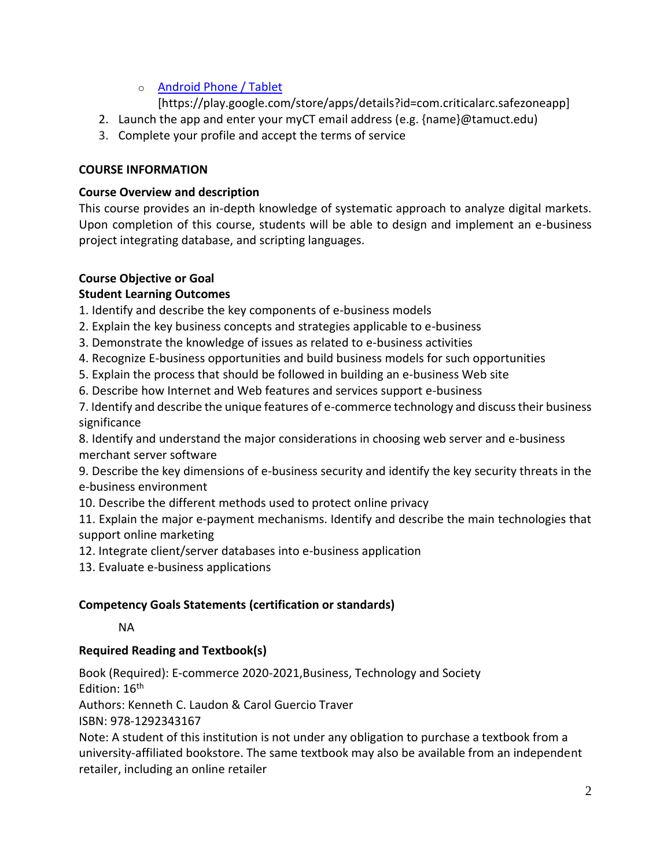# o [Android Phone / Tablet](https://play.google.com/store/apps/details?id=com.criticalarc.safezoneapp)

[https://play.google.com/store/apps/details?id=com.criticalarc.safezoneapp]

- 2. Launch the app and enter your myCT email address (e.g. {name}@tamuct.edu)
- 3. Complete your profile and accept the terms of service

# **COURSE INFORMATION**

# **Course Overview and description**

This course provides an in-depth knowledge of systematic approach to analyze digital markets. Upon completion of this course, students will be able to design and implement an e-business project integrating database, and scripting languages.

# **Course Objective or Goal**

# **Student Learning Outcomes**

1. Identify and describe the key components of e-business models

- 2. Explain the key business concepts and strategies applicable to e-business
- 3. Demonstrate the knowledge of issues as related to e-business activities
- 4. Recognize E-business opportunities and build business models for such opportunities
- 5. Explain the process that should be followed in building an e-business Web site
- 6. Describe how Internet and Web features and services support e-business

7. Identify and describe the unique features of e-commerce technology and discuss their business significance

8. Identify and understand the major considerations in choosing web server and e-business merchant server software

9. Describe the key dimensions of e-business security and identify the key security threats in the e-business environment

10. Describe the different methods used to protect online privacy

11. Explain the major e-payment mechanisms. Identify and describe the main technologies that support online marketing

- 12. Integrate client/server databases into e-business application
- 13. Evaluate e-business applications

# **Competency Goals Statements (certification or standards)**

## NA

# **Required Reading and Textbook(s)**

Book (Required): E-commerce 2020-2021,Business, Technology and Society Edition: 16<sup>th</sup>

Authors: Kenneth C. Laudon & Carol Guercio Traver

ISBN: 978-1292343167

Note: A student of this institution is not under any obligation to purchase a textbook from a university-affiliated bookstore. The same textbook may also be available from an independent retailer, including an online retailer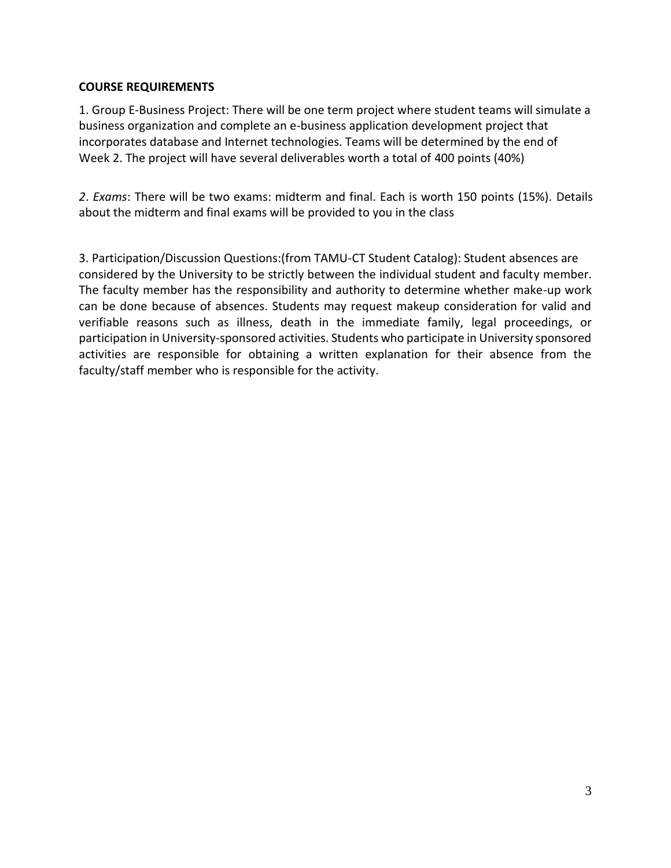### **COURSE REQUIREMENTS**

1. Group E-Business Project: There will be one term project where student teams will simulate a business organization and complete an e-business application development project that incorporates database and Internet technologies. Teams will be determined by the end of Week 2. The project will have several deliverables worth a total of 400 points (40%)

*2*. *Exams*: There will be two exams: midterm and final. Each is worth 150 points (15%). Details about the midterm and final exams will be provided to you in the class

3. Participation/Discussion Questions:(from TAMU-CT Student Catalog): Student absences are considered by the University to be strictly between the individual student and faculty member. The faculty member has the responsibility and authority to determine whether make-up work can be done because of absences. Students may request makeup consideration for valid and verifiable reasons such as illness, death in the immediate family, legal proceedings, or participation in University-sponsored activities. Students who participate in University sponsored activities are responsible for obtaining a written explanation for their absence from the faculty/staff member who is responsible for the activity.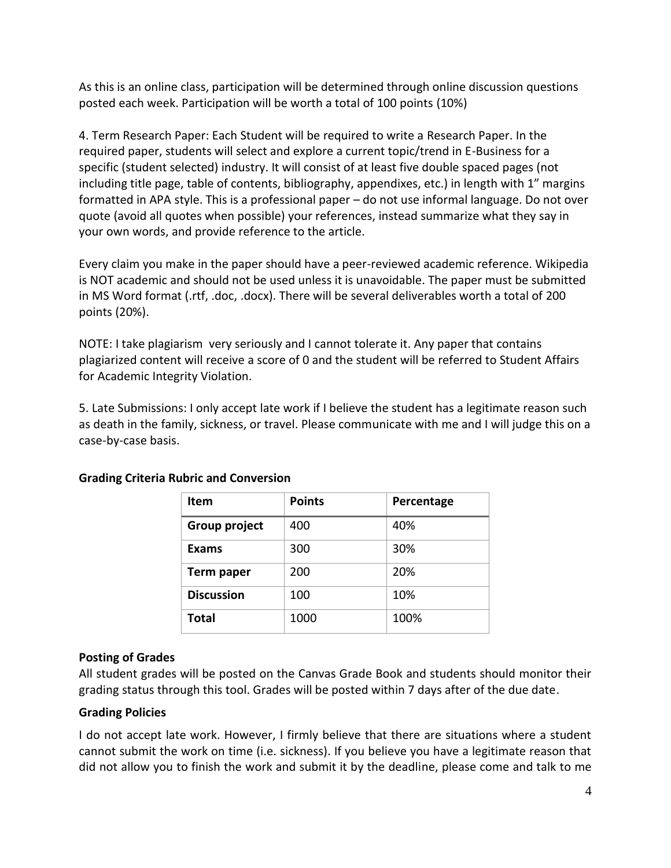As this is an online class, participation will be determined through online discussion questions posted each week. Participation will be worth a total of 100 points (10%)

4. Term Research Paper: Each Student will be required to write a Research Paper. In the required paper, students will select and explore a current topic/trend in E-Business for a specific (student selected) industry. It will consist of at least five double spaced pages (not including title page, table of contents, bibliography, appendixes, etc.) in length with 1" margins formatted in APA style. This is a professional paper – do not use informal language. Do not over quote (avoid all quotes when possible) your references, instead summarize what they say in your own words, and provide reference to the article.

Every claim you make in the paper should have a peer-reviewed academic reference. Wikipedia is NOT academic and should not be used unless it is unavoidable. The paper must be submitted in MS Word format (.rtf, .doc, .docx). There will be several deliverables worth a total of 200 points (20%).

NOTE: I take plagiarism very seriously and I cannot tolerate it. Any paper that contains plagiarized content will receive a score of 0 and the student will be referred to Student Affairs for Academic Integrity Violation.

5. Late Submissions: I only accept late work if I believe the student has a legitimate reason such as death in the family, sickness, or travel. Please communicate with me and I will judge this on a case-by-case basis.

| <b>Item</b>       | <b>Points</b> | Percentage |
|-------------------|---------------|------------|
| Group project     | 400           | 40%        |
| <b>Exams</b>      | 300           | 30%        |
| Term paper        | 200           | 20%        |
| <b>Discussion</b> | 100           | 10%        |
| Total             | 1000          | 100%       |

# **Grading Criteria Rubric and Conversion**

### **Posting of Grades**

All student grades will be posted on the Canvas Grade Book and students should monitor their grading status through this tool. Grades will be posted within 7 days after of the due date.

## **Grading Policies**

I do not accept late work. However, I firmly believe that there are situations where a student cannot submit the work on time (i.e. sickness). If you believe you have a legitimate reason that did not allow you to finish the work and submit it by the deadline, please come and talk to me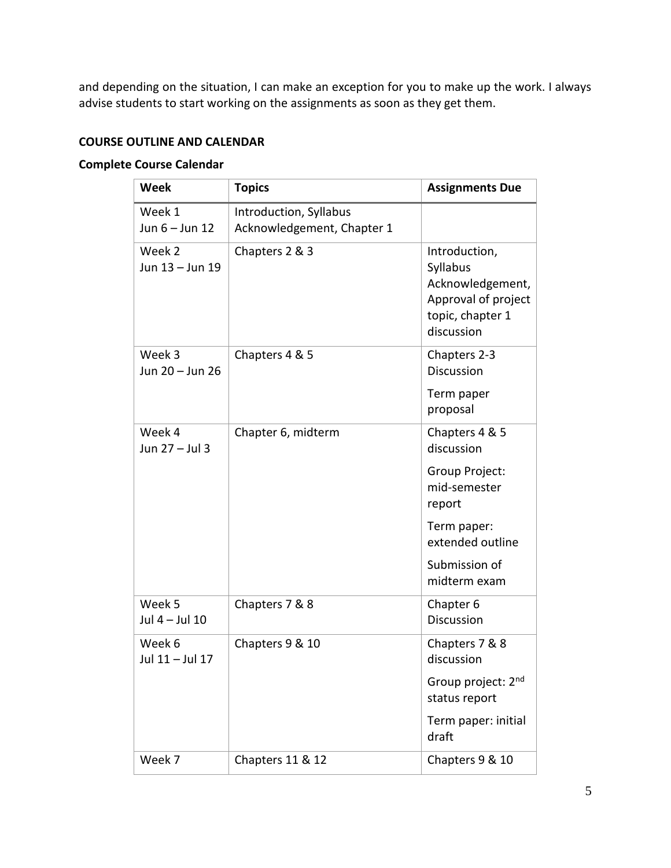and depending on the situation, I can make an exception for you to make up the work. I always advise students to start working on the assignments as soon as they get them.

# **COURSE OUTLINE AND CALENDAR**

### **Complete Course Calendar**

| <b>Week</b>                | <b>Topics</b>                                        | <b>Assignments Due</b>                                                                                 |
|----------------------------|------------------------------------------------------|--------------------------------------------------------------------------------------------------------|
| Week 1<br>Jun 6 - Jun 12   | Introduction, Syllabus<br>Acknowledgement, Chapter 1 |                                                                                                        |
| Week 2<br>Jun 13 - Jun 19  | Chapters 2 & 3                                       | Introduction,<br>Syllabus<br>Acknowledgement,<br>Approval of project<br>topic, chapter 1<br>discussion |
| Week 3<br>Jun 20 - Jun 26  | Chapters 4 & 5                                       | Chapters 2-3<br><b>Discussion</b>                                                                      |
|                            |                                                      | Term paper<br>proposal                                                                                 |
| Week 4<br>Jun 27 - Jul 3   | Chapter 6, midterm                                   | Chapters 4 & 5<br>discussion                                                                           |
|                            |                                                      | Group Project:<br>mid-semester<br>report                                                               |
|                            |                                                      | Term paper:<br>extended outline                                                                        |
|                            |                                                      | Submission of<br>midterm exam                                                                          |
| Week 5<br>Jul $4 -$ Jul 10 | Chapters 7 & 8                                       | Chapter 6<br>Discussion                                                                                |
| Week 6<br>Jul 11 - Jul 17  | Chapters 9 & 10                                      | Chapters 7 & 8<br>discussion                                                                           |
|                            |                                                      | Group project: 2 <sup>nd</sup><br>status report                                                        |
|                            |                                                      | Term paper: initial<br>draft                                                                           |
| Week 7                     | Chapters 11 & 12                                     | Chapters 9 & 10                                                                                        |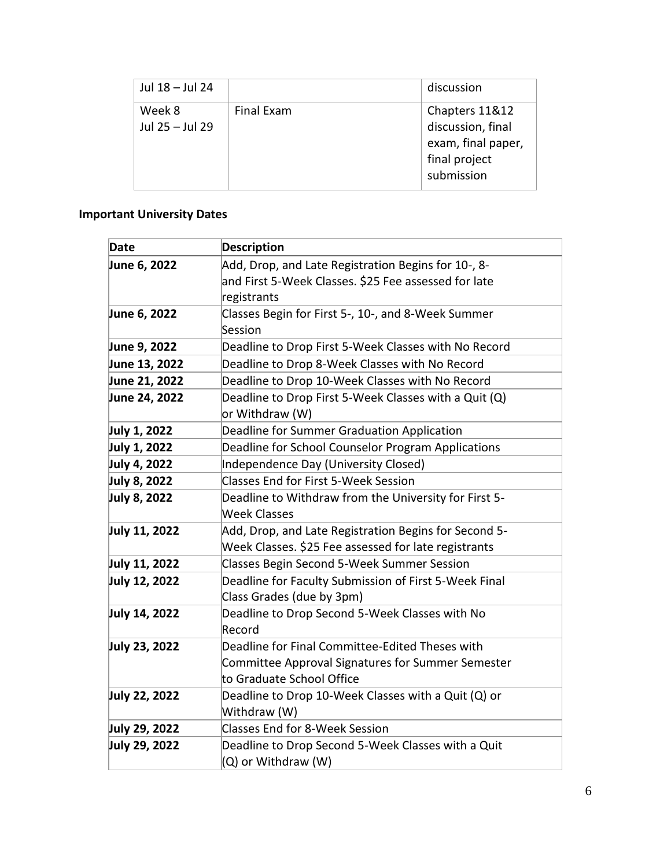| Jul 18 - Jul 24           |            | discussion                                                                               |
|---------------------------|------------|------------------------------------------------------------------------------------------|
| Week 8<br>Jul 25 - Jul 29 | Final Exam | Chapters 11&12<br>discussion, final<br>exam, final paper,<br>final project<br>submission |

# **Important University Dates**

| Date          | <b>Description</b>                                    |
|---------------|-------------------------------------------------------|
| June 6, 2022  | Add, Drop, and Late Registration Begins for 10-, 8-   |
|               | and First 5-Week Classes. \$25 Fee assessed for late  |
|               | registrants                                           |
| June 6, 2022  | Classes Begin for First 5-, 10-, and 8-Week Summer    |
|               | Session                                               |
| June 9, 2022  | Deadline to Drop First 5-Week Classes with No Record  |
| June 13, 2022 | Deadline to Drop 8-Week Classes with No Record        |
| June 21, 2022 | Deadline to Drop 10-Week Classes with No Record       |
| June 24, 2022 | Deadline to Drop First 5-Week Classes with a Quit (Q) |
|               | or Withdraw (W)                                       |
| July 1, 2022  | Deadline for Summer Graduation Application            |
| July 1, 2022  | Deadline for School Counselor Program Applications    |
| July 4, 2022  | Independence Day (University Closed)                  |
| July 8, 2022  | <b>Classes End for First 5-Week Session</b>           |
| July 8, 2022  | Deadline to Withdraw from the University for First 5- |
|               | <b>Week Classes</b>                                   |
| July 11, 2022 | Add, Drop, and Late Registration Begins for Second 5- |
|               | Week Classes. \$25 Fee assessed for late registrants  |
| July 11, 2022 | <b>Classes Begin Second 5-Week Summer Session</b>     |
| July 12, 2022 | Deadline for Faculty Submission of First 5-Week Final |
|               | Class Grades (due by 3pm)                             |
| July 14, 2022 | Deadline to Drop Second 5-Week Classes with No        |
|               | Record                                                |
| July 23, 2022 | Deadline for Final Committee-Edited Theses with       |
|               | Committee Approval Signatures for Summer Semester     |
|               | to Graduate School Office                             |
| July 22, 2022 | Deadline to Drop 10-Week Classes with a Quit (Q) or   |
|               | Withdraw (W)                                          |
| July 29, 2022 | <b>Classes End for 8-Week Session</b>                 |
| July 29, 2022 | Deadline to Drop Second 5-Week Classes with a Quit    |
|               | (Q) or Withdraw (W)                                   |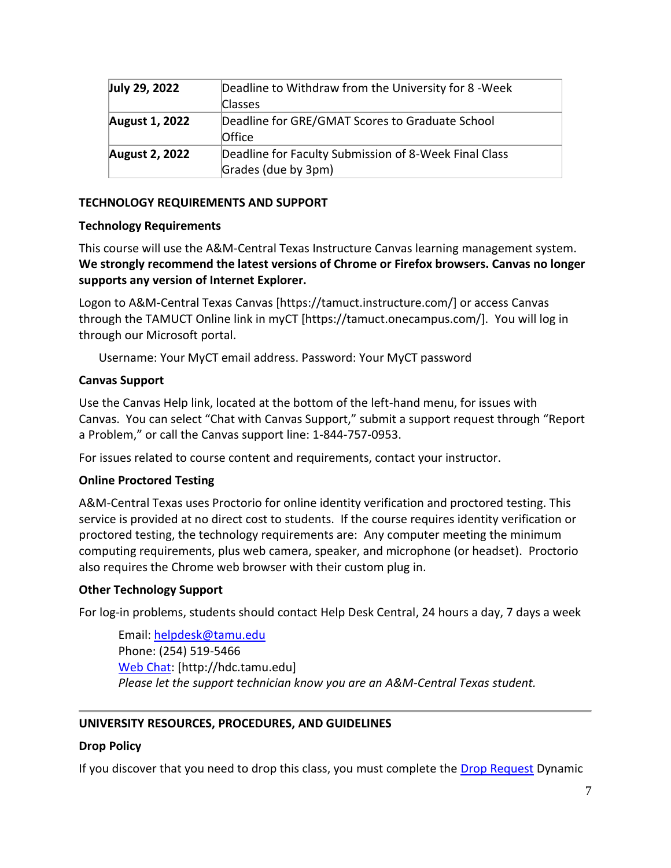| July 29, 2022         | Deadline to Withdraw from the University for 8 - Week                        |  |
|-----------------------|------------------------------------------------------------------------------|--|
|                       | <b>Classes</b>                                                               |  |
| <b>August 1, 2022</b> | Deadline for GRE/GMAT Scores to Graduate School<br>Office                    |  |
| <b>August 2, 2022</b> | Deadline for Faculty Submission of 8-Week Final Class<br>Grades (due by 3pm) |  |

### **TECHNOLOGY REQUIREMENTS AND SUPPORT**

### **Technology Requirements**

This course will use the A&M-Central Texas Instructure Canvas learning management system. **We strongly recommend the latest versions of Chrome or Firefox browsers. Canvas no longer supports any version of Internet Explorer.**

Logon to A&M-Central Texas Canvas [https://tamuct.instructure.com/] or access Canvas through the TAMUCT Online link in myCT [https://tamuct.onecampus.com/]. You will log in through our Microsoft portal.

Username: Your MyCT email address. Password: Your MyCT password

### **Canvas Support**

Use the Canvas Help link, located at the bottom of the left-hand menu, for issues with Canvas. You can select "Chat with Canvas Support," submit a support request through "Report a Problem," or call the Canvas support line: 1-844-757-0953.

For issues related to course content and requirements, contact your instructor.

## **Online Proctored Testing**

A&M-Central Texas uses Proctorio for online identity verification and proctored testing. This service is provided at no direct cost to students. If the course requires identity verification or proctored testing, the technology requirements are: Any computer meeting the minimum computing requirements, plus web camera, speaker, and microphone (or headset). Proctorio also requires the Chrome web browser with their custom plug in.

### **Other Technology Support**

For log-in problems, students should contact Help Desk Central, 24 hours a day, 7 days a week

Email: [helpdesk@tamu.edu](mailto:helpdesk@tamu.edu) Phone: (254) 519-5466 [Web Chat:](http://hdc.tamu.edu/) [http://hdc.tamu.edu] *Please let the support technician know you are an A&M-Central Texas student.*

## **UNIVERSITY RESOURCES, PROCEDURES, AND GUIDELINES**

## **Drop Policy**

If you discover that you need to drop this class, you must complete the [Drop Request](https://federation.ngwebsolutions.com/sp/startSSO.ping?PartnerIdpId=https://eis-prod.ec.tamuct.edu:443/samlsso&SpSessionAuthnAdapterId=tamuctDF&TargetResource=https%3a%2f%2fdynamicforms.ngwebsolutions.com%2fSubmit%2fStart%2f53b8369e-0502-4f36-be43-f02a4202f612) Dynamic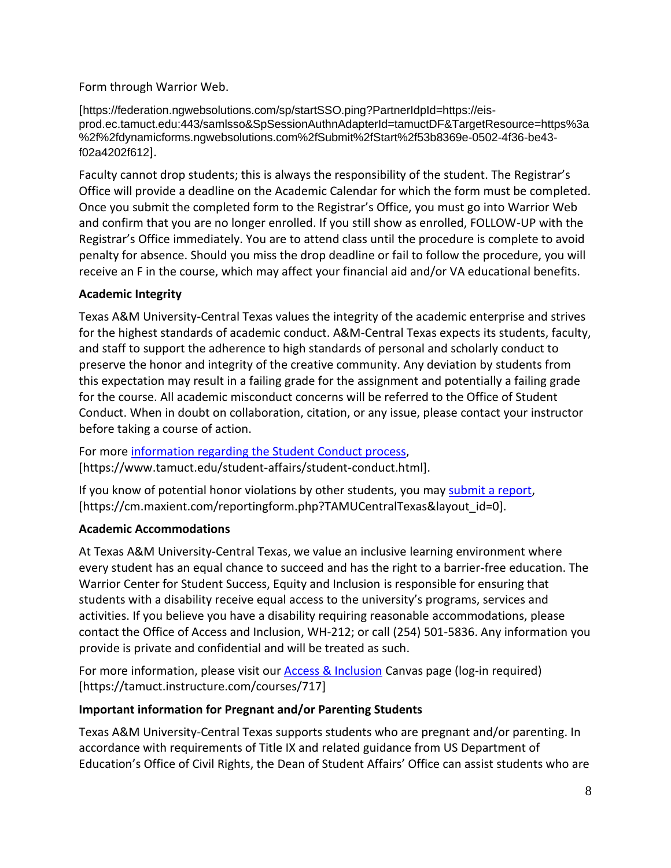Form through Warrior Web.

[https://federation.ngwebsolutions.com/sp/startSSO.ping?PartnerIdpId=https://eisprod.ec.tamuct.edu:443/samlsso&SpSessionAuthnAdapterId=tamuctDF&TargetResource=https%3a %2f%2fdynamicforms.ngwebsolutions.com%2fSubmit%2fStart%2f53b8369e-0502-4f36-be43 f02a4202f612].

Faculty cannot drop students; this is always the responsibility of the student. The Registrar's Office will provide a deadline on the Academic Calendar for which the form must be completed. Once you submit the completed form to the Registrar's Office, you must go into Warrior Web and confirm that you are no longer enrolled. If you still show as enrolled, FOLLOW-UP with the Registrar's Office immediately. You are to attend class until the procedure is complete to avoid penalty for absence. Should you miss the drop deadline or fail to follow the procedure, you will receive an F in the course, which may affect your financial aid and/or VA educational benefits.

## **Academic Integrity**

Texas A&M University-Central Texas values the integrity of the academic enterprise and strives for the highest standards of academic conduct. A&M-Central Texas expects its students, faculty, and staff to support the adherence to high standards of personal and scholarly conduct to preserve the honor and integrity of the creative community. Any deviation by students from this expectation may result in a failing grade for the assignment and potentially a failing grade for the course. All academic misconduct concerns will be referred to the Office of Student Conduct. When in doubt on collaboration, citation, or any issue, please contact your instructor before taking a course of action.

For more [information](https://nam04.safelinks.protection.outlook.com/?url=https%3A%2F%2Fwww.tamuct.edu%2Fstudent-affairs%2Fstudent-conduct.html&data=04%7C01%7Clisa.bunkowski%40tamuct.edu%7Ccfb6e486f24745f53e1a08d910055cb2%7C9eed4e3000f744849ff193ad8005acec%7C0%7C0%7C637558437485252160%7CUnknown%7CTWFpbGZsb3d8eyJWIjoiMC4wLjAwMDAiLCJQIjoiV2luMzIiLCJBTiI6Ik1haWwiLCJXVCI6Mn0%3D%7C1000&sdata=yjftDEVHvLX%2FhM%2FcFU0B99krV1RgEWR%2BJ%2BhvtoR6TYk%3D&reserved=0) regarding the Student Conduct process, [https://www.tamuct.edu/student-affairs/student-conduct.html].

If you know of potential honor violations by other students, you may [submit](https://nam04.safelinks.protection.outlook.com/?url=https%3A%2F%2Fcm.maxient.com%2Freportingform.php%3FTAMUCentralTexas%26layout_id%3D0&data=04%7C01%7Clisa.bunkowski%40tamuct.edu%7Ccfb6e486f24745f53e1a08d910055cb2%7C9eed4e3000f744849ff193ad8005acec%7C0%7C0%7C637558437485262157%7CUnknown%7CTWFpbGZsb3d8eyJWIjoiMC4wLjAwMDAiLCJQIjoiV2luMzIiLCJBTiI6Ik1haWwiLCJXVCI6Mn0%3D%7C1000&sdata=CXGkOa6uPDPX1IMZ87z3aZDq2n91xfHKu4MMS43Ejjk%3D&reserved=0) a report, [https://cm.maxient.com/reportingform.php?TAMUCentralTexas&layout\_id=0].

# **Academic Accommodations**

At Texas A&M University-Central Texas, we value an inclusive learning environment where every student has an equal chance to succeed and has the right to a barrier-free education. The Warrior Center for Student Success, Equity and Inclusion is responsible for ensuring that students with a disability receive equal access to the university's programs, services and activities. If you believe you have a disability requiring reasonable accommodations, please contact the Office of Access and Inclusion, WH-212; or call (254) 501-5836. Any information you provide is private and confidential and will be treated as such.

For more information, please visit our [Access & Inclusion](https://tamuct.instructure.com/courses/717) Canvas page (log-in required) [https://tamuct.instructure.com/courses/717]

## **Important information for Pregnant and/or Parenting Students**

Texas A&M University-Central Texas supports students who are pregnant and/or parenting. In accordance with requirements of Title IX and related guidance from US Department of Education's Office of Civil Rights, the Dean of Student Affairs' Office can assist students who are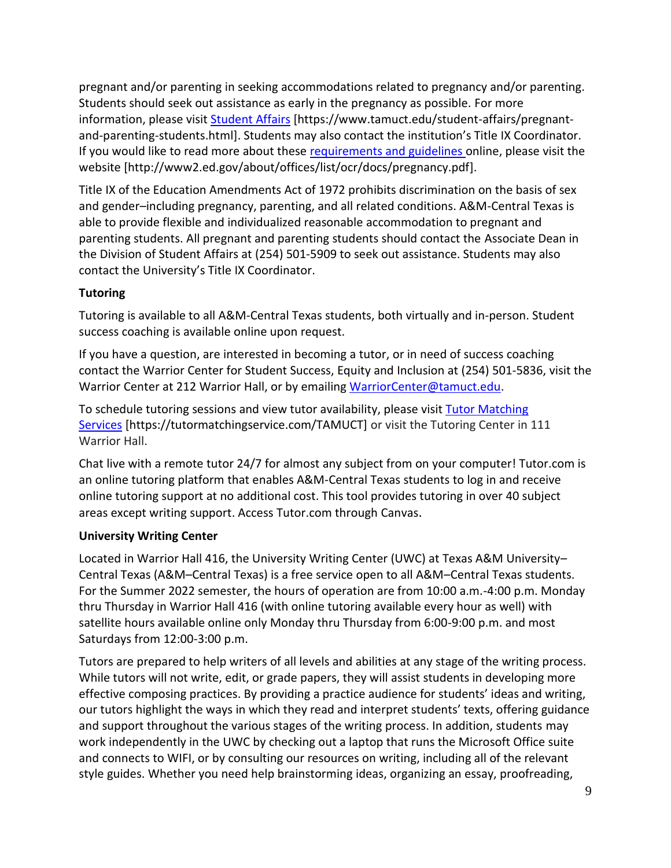pregnant and/or parenting in seeking accommodations related to pregnancy and/or parenting. Students should seek out assistance as early in the pregnancy as possible. For more information, please visit [Student Affairs](https://www.tamuct.edu/student-affairs/pregnant-and-parenting-students.html) [https://www.tamuct.edu/student-affairs/pregnantand-parenting-students.html]. Students may also contact the institution's Title IX Coordinator. If you would like to read more about these [requirements and guidelines](http://www2.ed.gov/about/offices/list/ocr/docs/pregnancy.pdf) online, please visit the website [http://www2.ed.gov/about/offices/list/ocr/docs/pregnancy.pdf].

Title IX of the Education Amendments Act of 1972 prohibits discrimination on the basis of sex and gender–including pregnancy, parenting, and all related conditions. A&M-Central Texas is able to provide flexible and individualized reasonable accommodation to pregnant and parenting students. All pregnant and parenting students should contact the Associate Dean in the Division of Student Affairs at (254) 501-5909 to seek out assistance. Students may also contact the University's Title IX Coordinator.

# **Tutoring**

Tutoring is available to all A&M-Central Texas students, both virtually and in-person. Student success coaching is available online upon request.

If you have a question, are interested in becoming a tutor, or in need of success coaching contact the Warrior Center for Student Success, Equity and Inclusion at (254) 501-5836, visit the Warrior Center at 212 Warrior Hall, or by emailing [WarriorCenter@tamuct.edu.](mailto:WarriorCenter@tamuct.edu)

To schedule tutoring sessions and view tutor availability, please visit Tutor [Matching](https://tutormatchingservice.com/TAMUCT) [Services](https://tutormatchingservice.com/TAMUCT) [https://tutormatchingservice.com/TAMUCT] or visit the Tutoring Center in 111 Warrior Hall.

Chat live with a remote tutor 24/7 for almost any subject from on your computer! Tutor.com is an online tutoring platform that enables A&M-Central Texas students to log in and receive online tutoring support at no additional cost. This tool provides tutoring in over 40 subject areas except writing support. Access Tutor.com through Canvas.

## **University Writing Center**

Located in Warrior Hall 416, the University Writing Center (UWC) at Texas A&M University– Central Texas (A&M–Central Texas) is a free service open to all A&M–Central Texas students. For the Summer 2022 semester, the hours of operation are from 10:00 a.m.-4:00 p.m. Monday thru Thursday in Warrior Hall 416 (with online tutoring available every hour as well) with satellite hours available online only Monday thru Thursday from 6:00-9:00 p.m. and most Saturdays from 12:00-3:00 p.m.

Tutors are prepared to help writers of all levels and abilities at any stage of the writing process. While tutors will not write, edit, or grade papers, they will assist students in developing more effective composing practices. By providing a practice audience for students' ideas and writing, our tutors highlight the ways in which they read and interpret students' texts, offering guidance and support throughout the various stages of the writing process. In addition, students may work independently in the UWC by checking out a laptop that runs the Microsoft Office suite and connects to WIFI, or by consulting our resources on writing, including all of the relevant style guides. Whether you need help brainstorming ideas, organizing an essay, proofreading,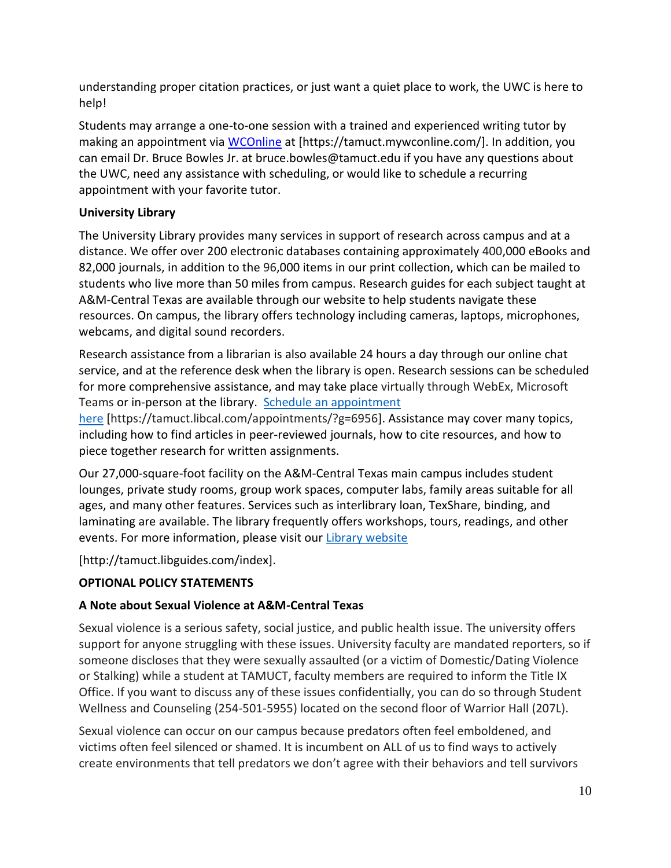understanding proper citation practices, or just want a quiet place to work, the UWC is here to help!

Students may arrange a one-to-one session with a trained and experienced writing tutor by making an appointment via [WCOnline](https://tamuct.mywconline.com/) at [https://tamuct.mywconline.com/]. In addition, you can email Dr. Bruce Bowles Jr. at bruce.bowles@tamuct.edu if you have any questions about the UWC, need any assistance with scheduling, or would like to schedule a recurring appointment with your favorite tutor.

# **University Library**

The University Library provides many services in support of research across campus and at a distance. We offer over 200 electronic databases containing approximately 400,000 eBooks and 82,000 journals, in addition to the 96,000 items in our print collection, which can be mailed to students who live more than 50 miles from campus. Research guides for each subject taught at A&M-Central Texas are available through our website to help students navigate these resources. On campus, the library offers technology including cameras, laptops, microphones, webcams, and digital sound recorders.

Research assistance from a librarian is also available 24 hours a day through our online chat service, and at the reference desk when the library is open. Research sessions can be scheduled for more comprehensive assistance, and may take place virtually through WebEx, Microsoft Teams or in-person at the library. Schedule an [appointment](https://nam04.safelinks.protection.outlook.com/?url=https%3A%2F%2Ftamuct.libcal.com%2Fappointments%2F%3Fg%3D6956&data=04%7C01%7Clisa.bunkowski%40tamuct.edu%7Cde2c07d9f5804f09518008d9ab7ba6ff%7C9eed4e3000f744849ff193ad8005acec%7C0%7C0%7C637729369835011558%7CUnknown%7CTWFpbGZsb3d8eyJWIjoiMC4wLjAwMDAiLCJQIjoiV2luMzIiLCJBTiI6Ik1haWwiLCJXVCI6Mn0%3D%7C3000&sdata=KhtjgRSAw9aq%2FoBsB6wyu8b7PSuGN5EGPypzr3Ty2No%3D&reserved=0)

[here](https://nam04.safelinks.protection.outlook.com/?url=https%3A%2F%2Ftamuct.libcal.com%2Fappointments%2F%3Fg%3D6956&data=04%7C01%7Clisa.bunkowski%40tamuct.edu%7Cde2c07d9f5804f09518008d9ab7ba6ff%7C9eed4e3000f744849ff193ad8005acec%7C0%7C0%7C637729369835011558%7CUnknown%7CTWFpbGZsb3d8eyJWIjoiMC4wLjAwMDAiLCJQIjoiV2luMzIiLCJBTiI6Ik1haWwiLCJXVCI6Mn0%3D%7C3000&sdata=KhtjgRSAw9aq%2FoBsB6wyu8b7PSuGN5EGPypzr3Ty2No%3D&reserved=0) [https://tamuct.libcal.com/appointments/?g=6956]. Assistance may cover many topics, including how to find articles in peer-reviewed journals, how to cite resources, and how to piece together research for written assignments.

Our 27,000-square-foot facility on the A&M-Central Texas main campus includes student lounges, private study rooms, group work spaces, computer labs, family areas suitable for all ages, and many other features. Services such as interlibrary loan, TexShare, binding, and laminating are available. The library frequently offers workshops, tours, readings, and other events. For more information, please visit our Library [website](https://nam04.safelinks.protection.outlook.com/?url=https%3A%2F%2Ftamuct.libguides.com%2Findex&data=04%7C01%7Clisa.bunkowski%40tamuct.edu%7C7d8489e8839a4915335f08d916f067f2%7C9eed4e3000f744849ff193ad8005acec%7C0%7C0%7C637566044056484222%7CUnknown%7CTWFpbGZsb3d8eyJWIjoiMC4wLjAwMDAiLCJQIjoiV2luMzIiLCJBTiI6Ik1haWwiLCJXVCI6Mn0%3D%7C1000&sdata=2R755V6rcIyedGrd4Os5rkgn1PvhHKU3kUV1vBKiHFo%3D&reserved=0)

[http://tamuct.libguides.com/index].

# **OPTIONAL POLICY STATEMENTS**

# **A Note about Sexual Violence at A&M-Central Texas**

Sexual violence is a serious safety, social justice, and public health issue. The university offers support for anyone struggling with these issues. University faculty are mandated reporters, so if someone discloses that they were sexually assaulted (or a victim of Domestic/Dating Violence or Stalking) while a student at TAMUCT, faculty members are required to inform the Title IX Office. If you want to discuss any of these issues confidentially, you can do so through Student Wellness and Counseling (254-501-5955) located on the second floor of Warrior Hall (207L).

Sexual violence can occur on our campus because predators often feel emboldened, and victims often feel silenced or shamed. It is incumbent on ALL of us to find ways to actively create environments that tell predators we don't agree with their behaviors and tell survivors